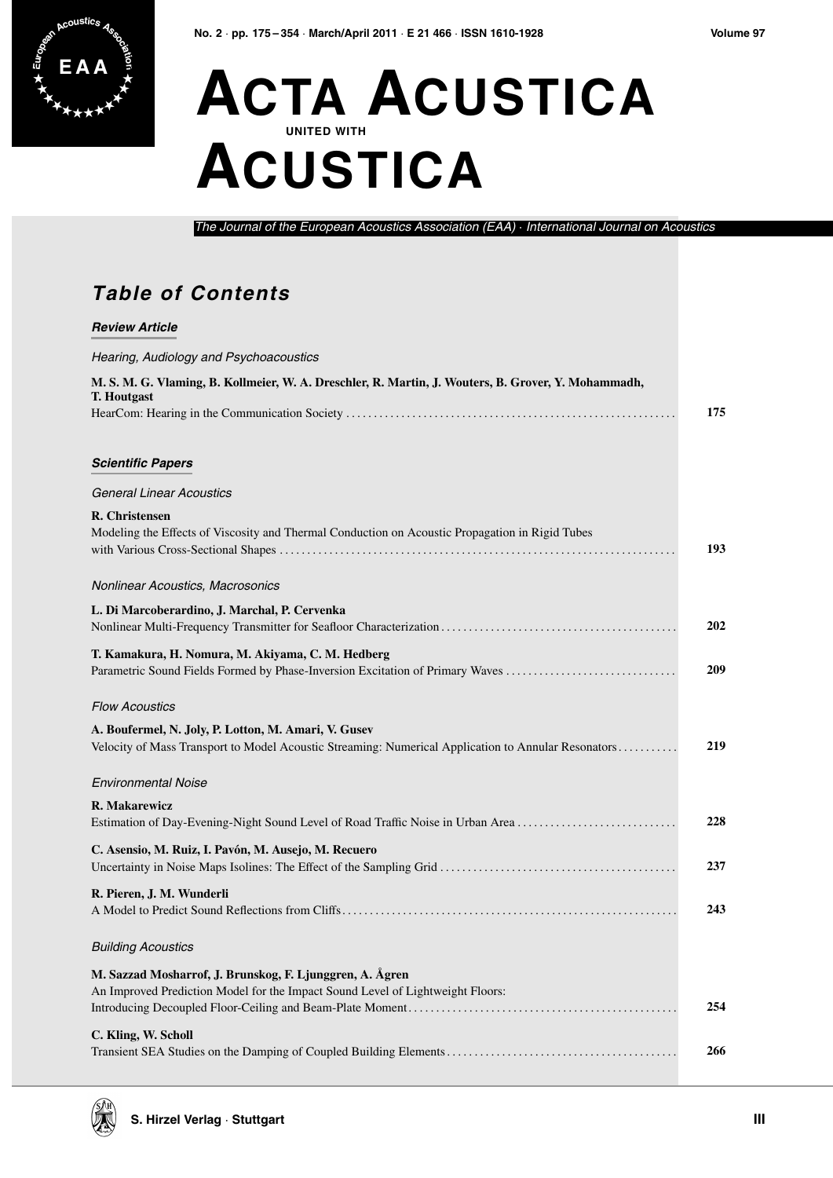

## **ACTA ACUSTICA UNITED WITH ACUSTICA**

The Journal of the European Acoustics Association (EAA) · International Journal on Acoustics

## **Table of Contents**

| <b>Review Article</b>                                                                                                                                       |     |
|-------------------------------------------------------------------------------------------------------------------------------------------------------------|-----|
| Hearing, Audiology and Psychoacoustics                                                                                                                      |     |
| M. S. M. G. Vlaming, B. Kollmeier, W. A. Dreschler, R. Martin, J. Wouters, B. Grover, Y. Mohammadh,<br><b>T. Houtgast</b>                                   | 175 |
| <b>Scientific Papers</b>                                                                                                                                    |     |
| <b>General Linear Acoustics</b>                                                                                                                             |     |
| R. Christensen<br>Modeling the Effects of Viscosity and Thermal Conduction on Acoustic Propagation in Rigid Tubes                                           | 193 |
| Nonlinear Acoustics, Macrosonics                                                                                                                            |     |
| L. Di Marcoberardino, J. Marchal, P. Cervenka                                                                                                               | 202 |
| T. Kamakura, H. Nomura, M. Akiyama, C. M. Hedberg<br>Parametric Sound Fields Formed by Phase-Inversion Excitation of Primary Waves                          | 209 |
| <b>Flow Acoustics</b>                                                                                                                                       |     |
| A. Boufermel, N. Joly, P. Lotton, M. Amari, V. Gusev<br>Velocity of Mass Transport to Model Acoustic Streaming: Numerical Application to Annular Resonators | 219 |
| <b>Environmental Noise</b>                                                                                                                                  |     |
| R. Makarewicz<br>Estimation of Day-Evening-Night Sound Level of Road Traffic Noise in Urban Area                                                            | 228 |
| C. Asensio, M. Ruiz, I. Pavón, M. Ausejo, M. Recuero                                                                                                        | 237 |
| R. Pieren, J. M. Wunderli                                                                                                                                   | 243 |
| <b>Building Acoustics</b>                                                                                                                                   |     |
| M. Sazzad Mosharrof, J. Brunskog, F. Ljunggren, A. Ågren<br>An Improved Prediction Model for the Impact Sound Level of Lightweight Floors:                  |     |
|                                                                                                                                                             | 254 |
| C. Kling, W. Scholl                                                                                                                                         | 266 |